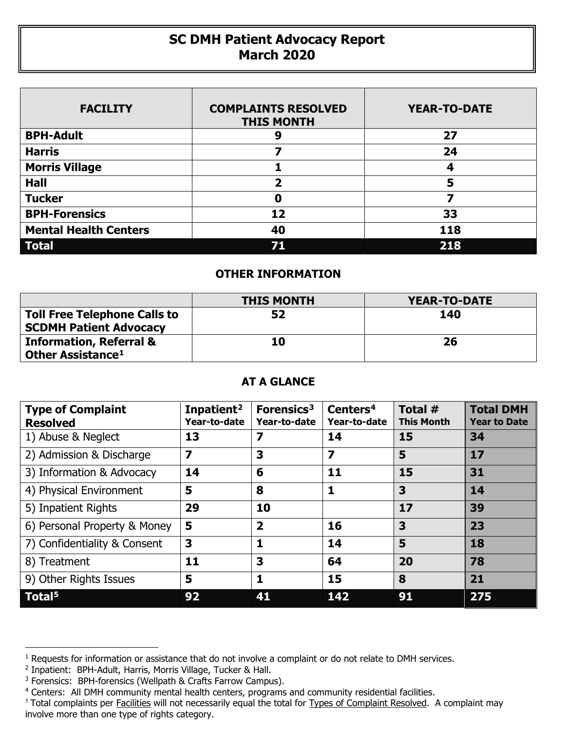## **SC DMH Patient Advocacy Report March 2020**

| <b>FACILITY</b>              | <b>COMPLAINTS RESOLVED</b><br><b>THIS MONTH</b> | <b>YEAR-TO-DATE</b> |
|------------------------------|-------------------------------------------------|---------------------|
| <b>BPH-Adult</b>             | g                                               | 27                  |
| <b>Harris</b>                |                                                 | 24                  |
| <b>Morris Village</b>        |                                                 | 4                   |
| <b>Hall</b>                  | ּר                                              | 5                   |
| <b>Tucker</b>                | Ω                                               | 7                   |
| <b>BPH-Forensics</b>         | 12                                              | 33                  |
| <b>Mental Health Centers</b> | 40                                              | 118                 |
| <b>Total</b>                 | 71                                              | 218                 |

## **OTHER INFORMATION**

|                                                                      | <b>THIS MONTH</b> | <b>YEAR-TO-DATE</b> |
|----------------------------------------------------------------------|-------------------|---------------------|
| <b>Toll Free Telephone Calls to</b><br><b>SCDMH Patient Advocacy</b> | 52                | 140                 |
| <b>Information, Referral &amp;</b><br>Other Assistance <sup>1</sup>  | 10                | 26                  |

## **AT A GLANCE**

| <b>Type of Complaint</b><br><b>Resolved</b> | Inpatient <sup>2</sup><br>Year-to-date | Forensics <sup>3</sup><br>Year-to-date | Centers <sup>4</sup><br>Year-to-date | Total #<br><b>This Month</b> | <b>Total DMH</b><br><b>Year to Date</b> |
|---------------------------------------------|----------------------------------------|----------------------------------------|--------------------------------------|------------------------------|-----------------------------------------|
| 1) Abuse & Neglect                          | 13                                     | 7                                      | 14                                   | 15                           | 34                                      |
| 2) Admission & Discharge                    | 7                                      | 3                                      | $\overline{\mathbf{z}}$              | 5                            | 17                                      |
| 3) Information & Advocacy                   | 14                                     | 6                                      | 11                                   | 15                           | 31                                      |
| 4) Physical Environment                     | 5                                      | 8                                      | 1                                    | 3                            | 14                                      |
| 5) Inpatient Rights                         | 29                                     | 10                                     |                                      | 17                           | 39                                      |
| 6) Personal Property & Money                | 5                                      | $\overline{\mathbf{2}}$                | 16                                   | 3                            | 23                                      |
| 7) Confidentiality & Consent                | 3                                      | 1                                      | 14                                   | 5                            | 18                                      |
| 8) Treatment                                | 11                                     | 3                                      | 64                                   | 20                           | 78                                      |
| 9) Other Rights Issues                      | 5                                      | 1                                      | 15                                   | 8                            | 21                                      |
| Total <sup>5</sup>                          | 92                                     | 41                                     | 142                                  | 91                           | 275                                     |

 $\overline{a}$ 

<span id="page-0-0"></span><sup>&</sup>lt;sup>1</sup> Requests for information or assistance that do not involve a complaint or do not relate to DMH services.

<span id="page-0-1"></span><sup>2</sup> Inpatient: BPH-Adult, Harris, Morris Village, Tucker & Hall.

<span id="page-0-2"></span><sup>&</sup>lt;sup>3</sup> Forensics: BPH-forensics (Wellpath & Crafts Farrow Campus).

<span id="page-0-3"></span><sup>&</sup>lt;sup>4</sup> Centers: All DMH community mental health centers, programs and community residential facilities.

<span id="page-0-4"></span><sup>&</sup>lt;sup>5</sup> Total complaints per Facilities will not necessarily equal the total for Types of Complaint Resolved. A complaint may involve more than one type of rights category.